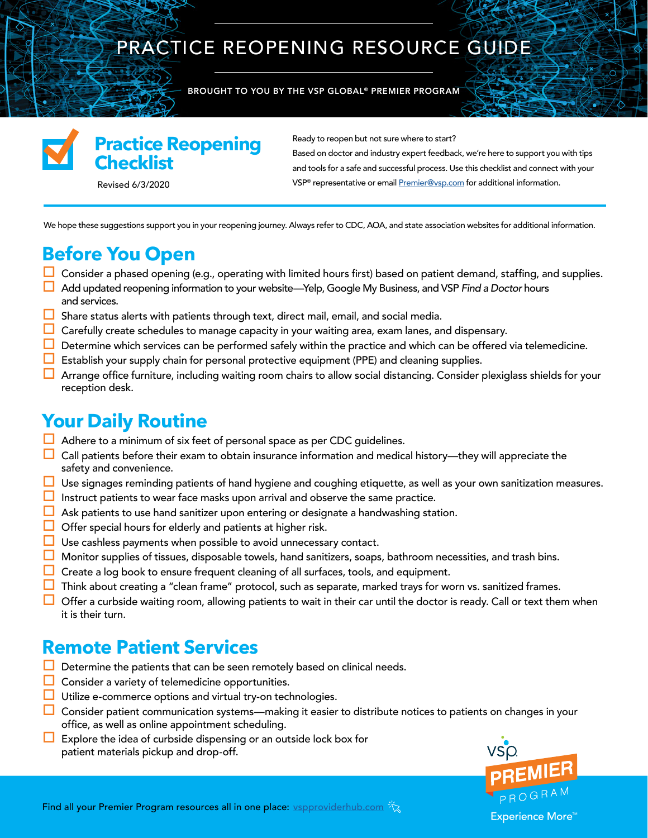## PRACTICE REOPENING RESOURCE GUIDE

BROUGHT TO YOU BY THE VSP GLOBAL® PREMIER PROGRAM



### **Practice Reopening Checklist**

Ready to reopen but not sure where to start?

Based on doctor and industry expert feedback, we're here to support you with tips and tools for a safe and successful process. Use this checklist and connect with your Revised 6/3/2020 **Revised 6/3/2020** representative or email **Premier@vsp.com** for additional information.

We hope these suggestions support you in your reopening journey. Always refer to CDC, AOA, and state association websites for additional information.

### **Before You Open**

- **Consider a phased opening (e.g., operating with limited hours first) based on patient demand, staffing, and supplies.**
- Add updated reopening information to your website—Yelp, Google My Business, and VSP *Find a Doctor* hours and services.
- $\Box$  Share status alerts with patients through text, direct mail, email, and social media.
- $\Box$  Carefully create schedules to manage capacity in your waiting area, exam lanes, and dispensary.
- $\Box$  Determine which services can be performed safely within the practice and which can be offered via telemedicine.
- $\Box$  Establish your supply chain for personal protective equipment (PPE) and cleaning supplies.
- **Arrange office furniture, including waiting room chairs to allow social distancing. Consider plexiglass shields for your** reception desk.

### **Your Daily Routine**

- $\Box$  Adhere to a minimum of six feet of personal space as per CDC guidelines.
- $\Box$  Call patients before their exam to obtain insurance information and medical history—they will appreciate the safety and convenience.
- Use signages reminding patients of hand hygiene and coughing etiquette, as well as your own sanitization measures.
- $\Box$  Instruct patients to wear face masks upon arrival and observe the same practice.
- $\Box$  Ask patients to use hand sanitizer upon entering or designate a handwashing station.
- $\Box$  Offer special hours for elderly and patients at higher risk.
- $\Box$  Use cashless payments when possible to avoid unnecessary contact.
- $\Box$  Monitor supplies of tissues, disposable towels, hand sanitizers, soaps, bathroom necessities, and trash bins.
- $\Box$  Create a log book to ensure frequent cleaning of all surfaces, tools, and equipment.
- $\Box$  Think about creating a "clean frame" protocol, such as separate, marked trays for worn vs. sanitized frames.
- $\Box$  Offer a curbside waiting room, allowing patients to wait in their car until the doctor is ready. Call or text them when it is their turn.

### **Remote Patient Services**

- $\Box$  Determine the patients that can be seen remotely based on clinical needs.
- $\Box$  Consider a variety of telemedicine opportunities.
- **Utilize e-commerce options and virtual try-on technologies.**
- $\Box$  Consider patient communication systems—making it easier to distribute notices to patients on changes in your office, as well as online appointment scheduling.
- $\Box$  Explore the idea of curbside dispensing or an outside lock box for patient materials pickup and drop-off.

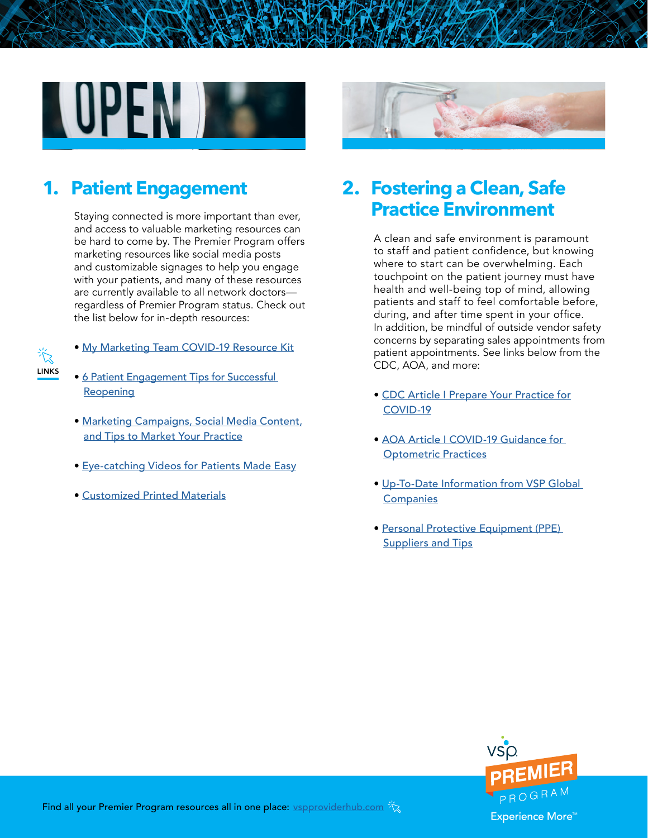

Staying connected is more important than ever, and access to valuable marketing resources can be hard to come by. The Premier Program offers marketing resources like social media posts and customizable signages to help you engage with your patients, and many of these resources are currently available to all network doctors regardless of Premier Program status. Check out the list below for in-depth resources:

- 氷 LINKS
- [My Marketing Team COVID-19 Resource Kit](https://www.vspproviderhub.com/premier/my-marketing-team/COVID-19-Marketing-Toolkit.html?utm_source=reopening_reference_guide&utm_medium=pdf&utm_campaign=premier_phase3_may2020)
- [6 Patient Engagement Tips for Successful](https://www.vspproviderhub.com/premier/my-marketing-team/marketing-101/Six-Patient-Engagement-Tips-for-a-Successful-Reopening?utm_source=reopening_reference_guide&utm_medium=pdf&utm_campaign=premier_phase3_may2020)  **[Reopening](https://www.vspproviderhub.com/premier/my-marketing-team/marketing-101/Six-Patient-Engagement-Tips-for-a-Successful-Reopening?utm_source=reopening_reference_guide&utm_medium=pdf&utm_campaign=premier_phase3_may2020)**
- [Marketing Campaigns, Social Media Content,](http://www.vspproviderhub.com/premier/my-marketing-team.html) [and Tips to Market Your Practice](http://www.vspproviderhub.com/premier/my-marketing-team.html)
- [Eye-catching Videos for Patients Made Easy](https://www.vspproviderhub.com/premier/my-marketing-team/marketing-101/Eye-Catching-Videos-for-Patients-Made-Easy.html?utm_source=reopening_reference_guide&utm_medium=pdf&utm_campaign=premier_phase3_may2020)
- [Customized Printed Materials](https://www.vspproviderhub.com/premier/my-marketing-team/marketing-101/Customized-Printed-Materials.html?utm_source=pdf&utm_medium=link&utm_campaign=reopening_guide)



# **1. Patient Engagement 2. Fostering a Clean, Safe**

A clean and safe environment is paramount to staff and patient confidence, but knowing where to start can be overwhelming. Each touchpoint on the patient journey must have health and well-being top of mind, allowing patients and staff to feel comfortable before, during, and after time spent in your office. In addition, be mindful of outside vendor safety concerns by separating sales appointments from patient appointments. See links below from the CDC, AOA, and more:

- • [CDC Article I Prepare Your Practice for](https://www.cdc.gov/coronavirus/2019-ncov/hcp/preparedness-resources.html) [COVID-19](https://www.cdc.gov/coronavirus/2019-ncov/hcp/preparedness-resources.html)
- • [AOA Article I COVID-19 Guidance for](https://www.aoa.org/covid-19-guidance-for-optometric-practices)  [Optometric Practices](https://www.aoa.org/covid-19-guidance-for-optometric-practices)
- • [Up-To-Date Information from VSP Global](http://www.vspproviderhub.com/covid-19.html?utm_source=reopening_reference_guide&utm_medium=pdf&utm_campaign=premier_phase3_may2020)  **[Companies](http://www.vspproviderhub.com/covid-19.html?utm_source=reopening_reference_guide&utm_medium=pdf&utm_campaign=premier_phase3_may2020)**
- [Personal Protective Equipment \(PPE\)](http://www.vspproviderhub.com/news/covid-19/ppe-suppliers-and-tips?utm_source=reopening_reference_guide&utm_medium=pdf&utm_campaign=premier_phase3_may2020)  **[Suppliers and Tips](http://www.vspproviderhub.com/news/covid-19/ppe-suppliers-and-tips?utm_source=reopening_reference_guide&utm_medium=pdf&utm_campaign=premier_phase3_may2020)**

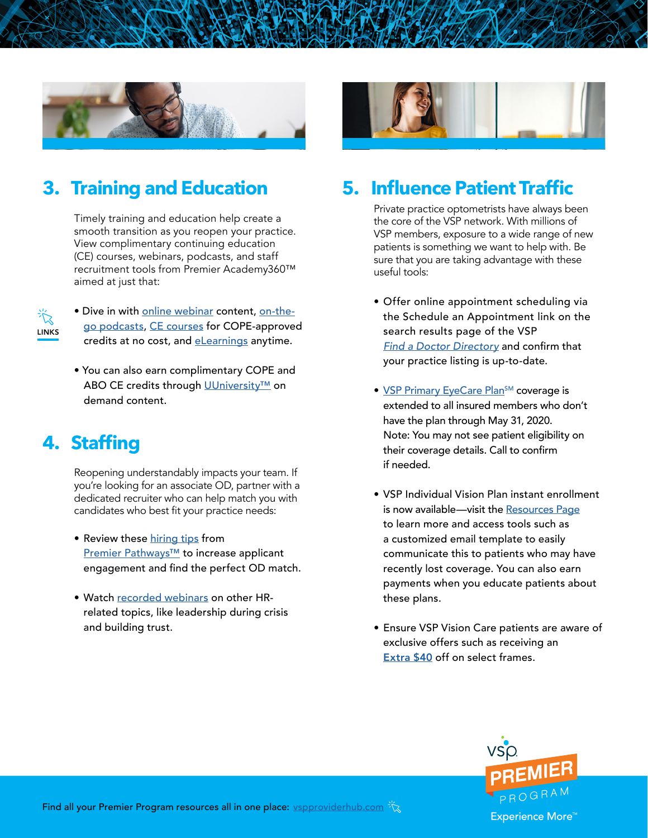

### **3. Training and Education**

Timely training and education help create a smooth transition as you reopen your practice. View complimentary continuing education (CE) courses, webinars, podcasts, and staff recruitment tools from Premier Academy360™ aimed at just that:



- Dive in with [online webinar](https://www.vspproviderhub.com/premier/academy360.html?utm_source=reopening_reference_guide&utm_medium=pdf&utm_campaign=premier_phase3_may2020) content, [on-the](https://www.vspproviderhub.com/premier/academy360.html?utm_source=reopening_reference_guide&utm_medium=pdf&utm_campaign=premier_phase3_may2020)[go podcasts, CE courses](https://www.vspproviderhub.com/premier/academy360.html?utm_source=reopening_reference_guide&utm_medium=pdf&utm_campaign=premier_phase3_may2020) for COPE-approved credits at no cost, and [eLearnings](https://academy.zeiss.com/pages/external-dashboard.jsf?dashboardId=621554&client=vsp&locale=en&utm_source=reopening_reference_guide&utm_medium=pdf&utm_campaign=premier_phase3_may2020) anytime.
- You can also earn complimentary COPE and ABO CE credits through [UUniversity™](https://myuuniversity.com/?utm_source=reopening_reference_guide&utm_medium=pdf&utm_campaign=premier_phase3_may2020#/public-dashboard) on demand content.

### **4. Staffing**

Reopening understandably impacts your team. If you're looking for an associate OD, partner with a dedicated recruiter who can help match you with candidates who best fit your practice needs:

- Review these [hiring tips](https://cdn.vsp.com/dam/jcr:986c5602-57c3-4e86-b528-479a7dad4168/providerhub/documents/pdfs/Pathways_Hiring-OD-infographic_v3.pdf) from [Premier Pathways™](https://www.vspproviderhub.com/premier/pathways.html?utm_source=reopening_reference_guide&utm_medium=pdf&utm_campaign=premier_phase3_may2020) to increase applicant engagement and find the perfect OD match.
- Watch [recorded webinars](https://www.vspproviderhub.com/premier/academy360.html?utm_source=reopening_reference_guide&utm_medium=pdf&utm_campaign=premier_phase3_may2020) on other HRrelated topics, like leadership during crisis and building trust.



### **5. Influence Patient Traffic**

Private practice optometrists have always been the core of the VSP network. With millions of VSP members, exposure to a wide range of new patients is something we want to help with. Be sure that you are taking advantage with these useful tools:

- Offer online appointment scheduling via the Schedule an Appointment link on the search results page of the VSP *[Find a Doctor Directory](https://www.vspproviderhub.com/premier/academy360.html?utm_source=reopening_reference_guide&utm_medium=pdf&utm_campaign=premier_phase3_may2020)* and confirm that your practice listing is up-to-date.
- VSP Primary EyeCare Plan<sup>SM</sup> coverage is extended to all insured members who don't have the plan through May 31, 2020. Note: You may not see patient eligibility on their coverage details. Call to confirm if needed.
- VSP Individual Vision Plan instant enrollment is now available—visit the [Resources Page](https://www.earnmorewithvsp.com/resources.html?utm_source=reopening_reference_guide&utm_medium=pdf&utm_campaign=premier_phase3_may2020) to learn more and access tools such as a customized email template to easily communicate this to patients who may have recently lost coverage. You can also earn payments when you educate patients about these plans.
- Ensure VSP Vision Care patients are aware of exclusive offers such as receiving an [Extra \\$40](https://www.vsp.com/offers/special-offers/glasses-sunglasses/glasses-frames-extra40-q2-2020?utm_source=reopening_reference_guide&utm_medium=pdf&utm_campaign=premier_phase3_may2020) off on select frames.